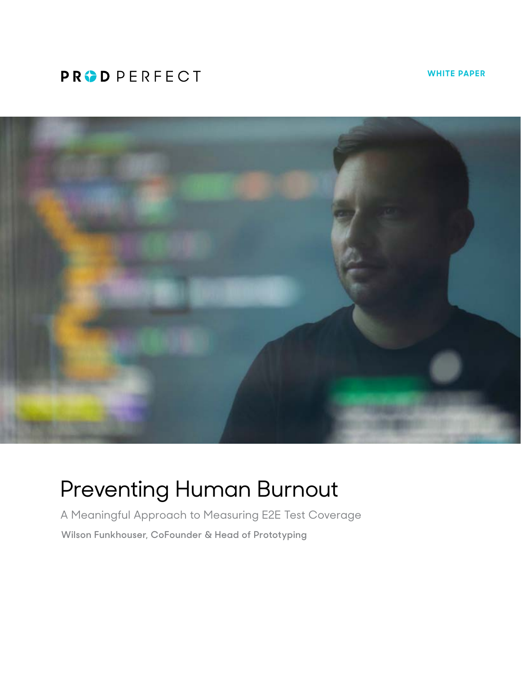## **PRODPERFECT**

**WHITE PAPER**



# Preventing Human Burnout

A Meaningful Approach to Measuring E2E Test Coverage **Wilson Funkhouser, CoFounder & Head of Prototyping**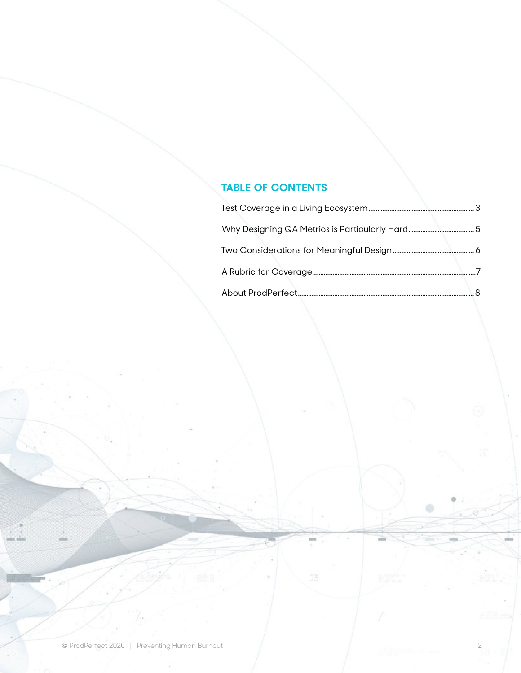### **TABLE OF CONTENTS**

 $\qquad \qquad \circ$ 

mi

 $J\bar{S}$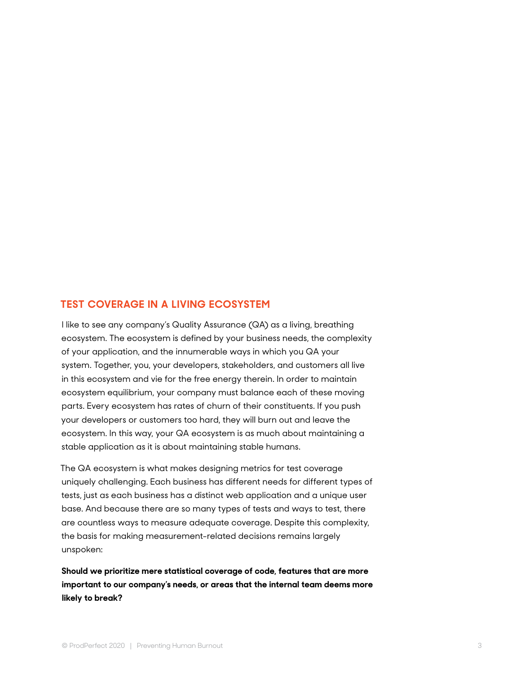#### <span id="page-2-0"></span>**TEST COVERAGE IN A LIVING ECOSYSTEM**

I like to see any company's Quality Assurance (QA) as a living, breathing ecosystem. The ecosystem is defined by your business needs, the complexity of your application, and the innumerable ways in which you QA your system. Together, you, your developers, stakeholders, and customers all live in this ecosystem and vie for the free energy therein. In order to maintain ecosystem equilibrium, your company must balance each of these moving parts. Every ecosystem has rates of churn of their constituents. If you push your developers or customers too hard, they will burn out and leave the ecosystem. In this way, your QA ecosystem is as much about maintaining a stable application as it is about maintaining stable humans.

The QA ecosystem is what makes designing metrics for test coverage uniquely challenging. Each business has different needs for different types of tests, just as each business has a distinct web application and a unique user base. And because there are so many types of tests and ways to test, there are countless ways to measure adequate coverage. Despite this complexity, the basis for making measurement-related decisions remains largely unspoken:

**Should we prioritize mere statistical coverage of code, features that are more important to our company's needs, or areas that the internal team deems more likely to break?**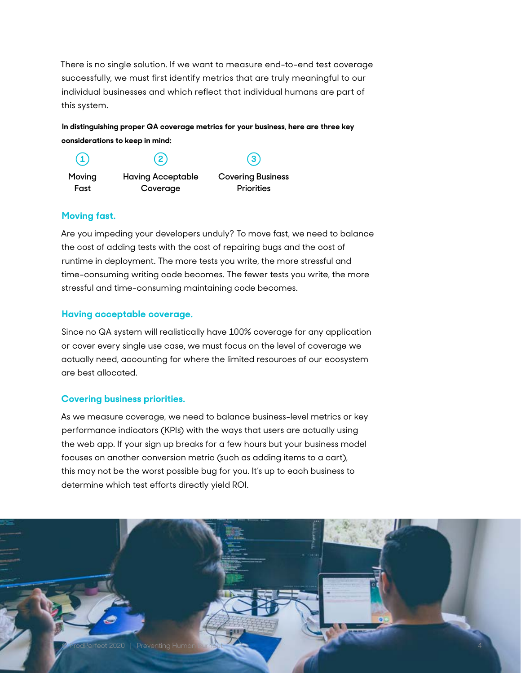<span id="page-3-0"></span>There is no single solution. If we want to measure end-to-end test coverage successfully, we must first identify metrics that are truly meaningful to our individual businesses and which reflect that individual humans are part of this system.

**In distinguishing proper QA coverage metrics for your business, here are three key considerations to keep in mind:** 

**Moving Fast 1 2 3**

**Having Acceptable Coverage**

**Covering Business Priorities**

#### **Moving fast.**

Are you impeding your developers unduly? To move fast, we need to balance the cost of adding tests with the cost of repairing bugs and the cost of runtime in deployment. The more tests you write, the more stressful and time-consuming writing code becomes. The fewer tests you write, the more stressful and time-consuming maintaining code becomes.

#### **Having acceptable coverage.**

Since no QA system will realistically have 100% coverage for any application or cover every single use case, we must focus on the level of coverage we actually need, accounting for where the limited resources of our ecosystem are best allocated.

#### **Covering business priorities.**

As we measure coverage, we need to balance business-level metrics or key performance indicators (KPIs) with the ways that users are actually using the web app. If your sign up breaks for a few hours but your business model focuses on another conversion metric (such as adding items to a cart), this may not be the worst possible bug for you. It's up to each business to determine which test efforts directly yield ROI.

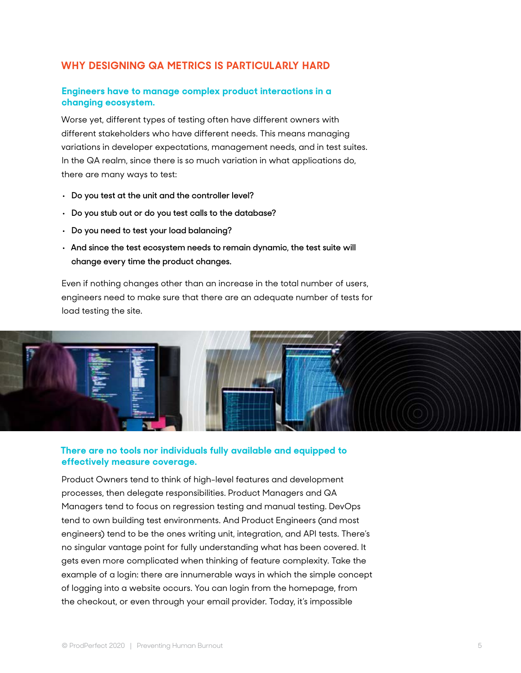#### <span id="page-4-0"></span>**WHY DESIGNING QA METRICS IS PARTICULARLY HARD**

#### **Engineers have to manage complex product interactions in a changing ecosystem.**

Worse yet, different types of testing often have different owners with different stakeholders who have different needs. This means managing variations in developer expectations, management needs, and in test suites. In the QA realm, since there is so much variation in what applications do, there are many ways to test:

- **• Do you test at the unit and the controller level?**
- **• Do you stub out or do you test calls to the database?**
- **• Do you need to test your load balancing?**
- **• And since the test ecosystem needs to remain dynamic, the test suite will change every time the product changes.**

Even if nothing changes other than an increase in the total number of users, engineers need to make sure that there are an adequate number of tests for load testing the site.



#### **There are no tools nor individuals fully available and equipped to effectively measure coverage.**

Product Owners tend to think of high-level features and development processes, then delegate responsibilities. Product Managers and QA Managers tend to focus on regression testing and manual testing. DevOps tend to own building test environments. And Product Engineers (and most engineers) tend to be the ones writing unit, integration, and API tests. There's no singular vantage point for fully understanding what has been covered. It gets even more complicated when thinking of feature complexity. Take the example of a login: there are innumerable ways in which the simple concept of logging into a website occurs. You can login from the homepage, from the checkout, or even through your email provider. Today, it's impossible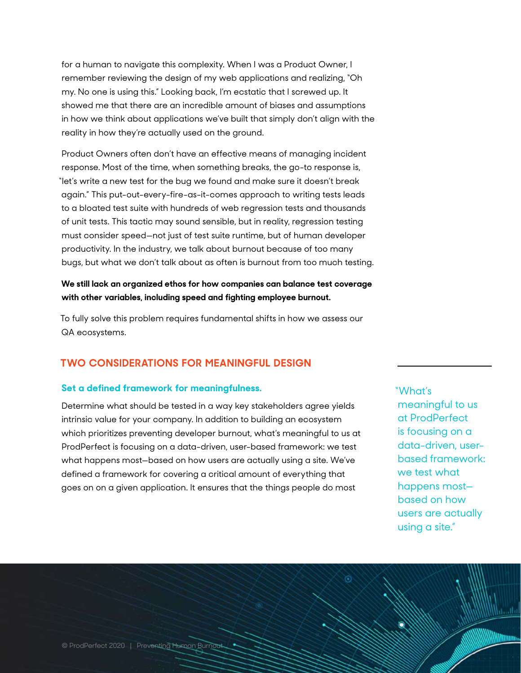<span id="page-5-0"></span>for a human to navigate this complexity. When I was a Product Owner, I remember reviewing the design of my web applications and realizing, "Oh my. No one is using this." Looking back, I'm ecstatic that I screwed up. It showed me that there are an incredible amount of biases and assumptions in how we think about applications we've built that simply don't align with the reality in how they're actually used on the ground.

Product Owners often don't have an effective means of managing incident response. Most of the time, when something breaks, the go-to response is, "let's write a new test for the bug we found and make sure it doesn't break again." This put-out-every-fire-as-it-comes approach to writing tests leads to a bloated test suite with hundreds of web regression tests and thousands of unit tests. This tactic may sound sensible, but in reality, regression testing must consider speed—not just of test suite runtime, but of human developer productivity. In the industry, we talk about burnout because of too many bugs, but what we don't talk about as often is burnout from too much testing.

#### **We still lack an organized ethos for how companies can balance test coverage with other variables, including speed and fighting employee burnout.**

To fully solve this problem requires fundamental shifts in how we assess our QA ecosystems.

#### **TWO CONSIDERATIONS FOR MEANINGFUL DESIGN**

#### **Set a defined framework for meaningfulness.**

Determine what should be tested in a way key stakeholders agree yields intrinsic value for your company. In addition to building an ecosystem which prioritizes preventing developer burnout, what's meaningful to us at ProdPerfect is focusing on a data-driven, user-based framework: we test what happens most—based on how users are actually using a site. We've defined a framework for covering a critical amount of everything that goes on on a given application. It ensures that the things people do most

"What's meaningful to us at ProdPerfect is focusing on a data-driven, userbased framework: we test what happens most based on how users are actually using a site."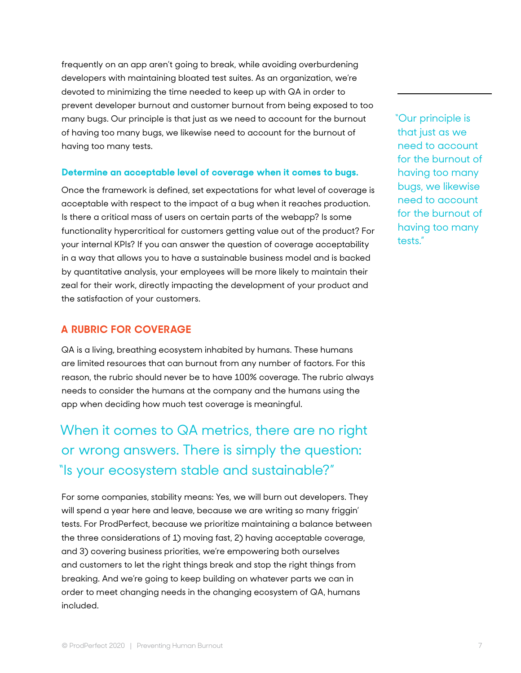frequently on an app aren't going to break, while avoiding overburdening developers with maintaining bloated test suites. As an organization, we're devoted to minimizing the time needed to keep up with QA in order to prevent developer burnout and customer burnout from being exposed to too many bugs. Our principle is that just as we need to account for the burnout of having too many bugs, we likewise need to account for the burnout of having too many tests.

#### **Determine an acceptable level of coverage when it comes to bugs.**

Once the framework is defined, set expectations for what level of coverage is acceptable with respect to the impact of a bug when it reaches production. Is there a critical mass of users on certain parts of the webapp? Is some functionality hypercritical for customers getting value out of the product? For your internal KPIs? If you can answer the question of coverage acceptability in a way that allows you to have a sustainable business model and is backed by quantitative analysis, your employees will be more likely to maintain their zeal for their work, directly impacting the development of your product and the satisfaction of your customers.

#### **A RUBRIC FOR COVERAGE**

QA is a living, breathing ecosystem inhabited by humans. These humans are limited resources that can burnout from any number of factors. For this reason, the rubric should never be to have 100% coverage. The rubric always needs to consider the humans at the company and the humans using the app when deciding how much test coverage is meaningful.

## When it comes to QA metrics, there are no right or wrong answers. There is simply the question: "Is your ecosystem stable and sustainable?"

For some companies, stability means: Yes, we will burn out developers. They will spend a year here and leave, because we are writing so many friggin' tests. For ProdPerfect, because we prioritize maintaining a balance between the three considerations of 1) moving fast, 2) having acceptable coverage, and 3) covering business priorities, we're empowering both ourselves and customers to let the right things break and stop the right things from breaking. And we're going to keep building on whatever parts we can in order to meet changing needs in the changing ecosystem of QA, humans included.

"Our principle is that just as we need to account for the burnout of having too many bugs, we likewise need to account for the burnout of having too many tests."